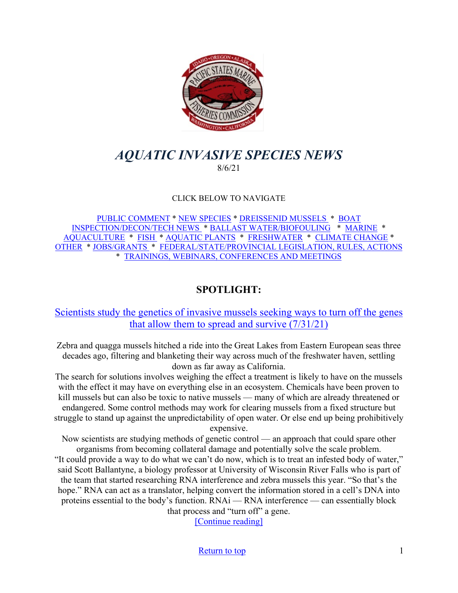

# <span id="page-0-0"></span>*AQUATIC INVASIVE SPECIES NEWS* 8/6/21

#### CLICK BELOW TO NAVIGATE

[PUBLIC COMMENT](#page-1-0) \* [NEW SPECIES](#page-1-1) \* [DREISSENID MUSSELS](#page-2-0) \* [BOAT](#page-4-0)  [INSPECTION/DECON/TECH NEWS](#page-4-0) \* [BALLAST WATER/BIOFOULING](#page-4-1) \* [MARINE](#page-5-0) \* [AQUACULTURE](#page-5-1) \* [FISH](#page-6-0) \* [AQUATIC PLANTS](#page-7-0) \* [FRESHWATER](#page-8-0) \* [CLIMATE CHANGE](#page-8-1) \* [OTHER](#page-9-0) \* [JOBS/GRANTS](#page-11-0) \* [FEDERAL/STATE/PROVINCIAL LEGISLATION, RULES, ACTIONS](#page-14-0) \* [TRAININGS, WEBINARS, CONFERENCES AND MEETINGS](#page-19-0) 

## **SPOTLIGHT:**

## [Scientists study the genetics of invasive mussels seeking ways to turn off the genes](https://www.chicagotribune.com/news/environment/ct-lake-michigan-invasive-mussels-genetic-research-20210730-nx7plrceefb3tbpjwuhvm3sfe4-story.html)  [that allow them to spread and survive \(7/31/21\)](https://www.chicagotribune.com/news/environment/ct-lake-michigan-invasive-mussels-genetic-research-20210730-nx7plrceefb3tbpjwuhvm3sfe4-story.html)

Zebra and quagga mussels hitched a ride into the Great Lakes from Eastern European seas three decades ago, filtering and blanketing their way across much of the freshwater haven, settling down as far away as California.

The search for solutions involves weighing the effect a treatment is likely to have on the mussels with the effect it may have on everything else in an ecosystem. Chemicals have been proven to kill mussels but can also be toxic to native mussels — many of which are already threatened or endangered. Some control methods may work for clearing mussels from a fixed structure but struggle to stand up against the unpredictability of open water. Or else end up being prohibitively expensive.

Now scientists are studying methods of genetic control — an approach that could spare other organisms from becoming collateral damage and potentially solve the scale problem.

"It could provide a way to do what we can't do now, which is to treat an infested body of water," said Scott Ballantyne, a biology professor at University of Wisconsin River Falls who is part of the team that started researching RNA interference and zebra mussels this year. "So that's the hope." RNA can act as a translator, helping convert the information stored in a cell's DNA into proteins essential to the body's function. RNAi — RNA interference — can essentially block that process and "turn off" a gene.

[\[Continue reading\]](https://www.chicagotribune.com/news/environment/ct-lake-michigan-invasive-mussels-genetic-research-20210730-nx7plrceefb3tbpjwuhvm3sfe4-story.html)

[Return to top](#page-0-0) 1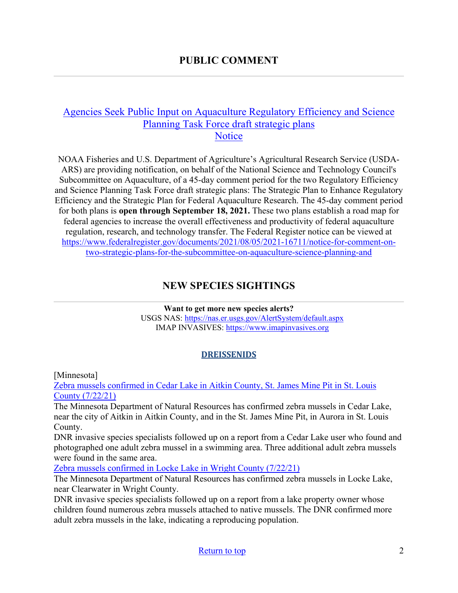## <span id="page-1-0"></span>[Agencies Seek Public Input on Aquaculture Regulatory Efficiency and Science](https://www.fisheries.noaa.gov/action/agencies-seek-public-input-aquaculture-regulatory-efficiency-and-science-planning-task-force?utm_medium=email&utm_source=govdelivery)  [Planning Task Force draft strategic plans](https://www.fisheries.noaa.gov/action/agencies-seek-public-input-aquaculture-regulatory-efficiency-and-science-planning-task-force?utm_medium=email&utm_source=govdelivery) **[Notice](https://www.fisheries.noaa.gov/action/agencies-seek-public-input-aquaculture-regulatory-efficiency-and-science-planning-task-force?utm_medium=email&utm_source=govdelivery)**

NOAA Fisheries and U.S. Department of Agriculture's Agricultural Research Service (USDA-ARS) are providing notification, on behalf of the National Science and Technology Council's Subcommittee on Aquaculture, of a 45-day comment period for the two Regulatory Efficiency and Science Planning Task Force draft strategic plans: The Strategic Plan to Enhance Regulatory Efficiency and the Strategic Plan for Federal Aquaculture Research. The 45-day comment period for both plans is **open through September 18, 2021.** These two plans establish a road map for federal agencies to increase the overall effectiveness and productivity of federal aquaculture regulation, research, and technology transfer. The Federal Register notice can be viewed at [https://www.federalregister.gov/documents/2021/08/05/2021-16711/notice-for-comment-on](https://www.federalregister.gov/documents/2021/08/05/2021-16711/notice-for-comment-on-two-strategic-plans-for-the-subcommittee-on-aquaculture-science-planning-and)[two-strategic-plans-for-the-subcommittee-on-aquaculture-science-planning-and](https://www.federalregister.gov/documents/2021/08/05/2021-16711/notice-for-comment-on-two-strategic-plans-for-the-subcommittee-on-aquaculture-science-planning-and)

# **NEW SPECIES SIGHTINGS**

<span id="page-1-1"></span>**Want to get more new species alerts?** USGS NAS:<https://nas.er.usgs.gov/AlertSystem/default.aspx> IMAP INVASIVES: [https://www.imapinvasives.org](https://www.imapinvasives.org/)

#### **DREISSENIDS**

[Minnesota]

[Zebra mussels confirmed in Cedar Lake in Aitkin County, St. James Mine Pit in St. Louis](https://www.dnr.state.mn.us/news/2021/07/22/zebra-mussels-confirmed-cedar-lake-aitkin-county-st-james-mine-pit-st-louis-county)  [County \(7/22/21\)](https://www.dnr.state.mn.us/news/2021/07/22/zebra-mussels-confirmed-cedar-lake-aitkin-county-st-james-mine-pit-st-louis-county)

The Minnesota Department of Natural Resources has confirmed zebra mussels in Cedar Lake, near the city of Aitkin in Aitkin County, and in the St. James Mine Pit, in Aurora in St. Louis County.

DNR invasive species specialists followed up on a report from a Cedar Lake user who found and photographed one adult zebra mussel in a swimming area. Three additional adult zebra mussels were found in the same area.

[Zebra mussels confirmed in Locke Lake in Wright County \(7/22/21\)](https://www.dnr.state.mn.us/news/2021/07/22/zebra-mussels-confirmed-locke-lake-wright-county)

The Minnesota Department of Natural Resources has confirmed zebra mussels in Locke Lake, near Clearwater in Wright County.

DNR invasive species specialists followed up on a report from a lake property owner whose children found numerous zebra mussels attached to native mussels. The DNR confirmed more adult zebra mussels in the lake, indicating a reproducing population.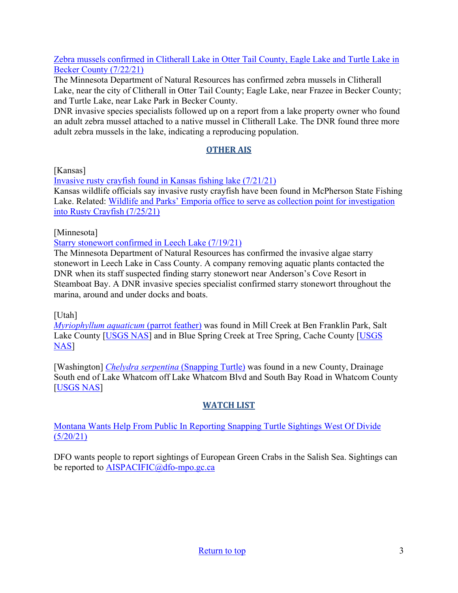[Zebra mussels confirmed in Clitherall Lake in Otter Tail County, Eagle Lake and Turtle Lake in](https://www.dnr.state.mn.us/news/2021/07/22/zebra-mussels-confirmed-clitherall-lake-otter-tail-county-eagle-lake-and-turtle-lake-becker-county)  [Becker County \(7/22/21\)](https://www.dnr.state.mn.us/news/2021/07/22/zebra-mussels-confirmed-clitherall-lake-otter-tail-county-eagle-lake-and-turtle-lake-becker-county)

The Minnesota Department of Natural Resources has confirmed zebra mussels in Clitherall Lake, near the city of Clitherall in Otter Tail County; Eagle Lake, near Frazee in Becker County; and Turtle Lake, near Lake Park in Becker County.

DNR invasive species specialists followed up on a report from a lake property owner who found an adult zebra mussel attached to a native mussel in Clitherall Lake. The DNR found three more adult zebra mussels in the lake, indicating a reproducing population.

## **OTHER AIS**

[Kansas]

[Invasive rusty crayfish found in Kansas fishing lake \(7/21/21\)](https://www.kake.com/story/44351996/invasive-rusty-crayfish-found-in-kansas-lake) Kansas wildlife officials say invasive rusty crayfish have been found in McPherson State Fishing Lake. Related: Wildlife and Parks' Emporia office to [serve as collection point for investigation](https://kvoe.com/2021/07/24/wildlife-and-parks-emporia-office-to-serve-as-collection-point-for-investigation-into-rusty-crayfish/)  [into Rusty Crayfish \(7/25/21\)](https://kvoe.com/2021/07/24/wildlife-and-parks-emporia-office-to-serve-as-collection-point-for-investigation-into-rusty-crayfish/)

[Minnesota]

[Starry stonewort confirmed in Leech Lake \(7/19/21\)](https://www.dnr.state.mn.us/news/2021/07/19/starry-stonewort-confirmed-leech-lake)

The Minnesota Department of Natural Resources has confirmed the invasive algae starry stonewort in Leech Lake in Cass County. A company removing aquatic plants contacted the DNR when its staff suspected finding starry stonewort near Anderson's Cove Resort in Steamboat Bay. A DNR invasive species specialist confirmed starry stonewort throughout the marina, around and under docks and boats.

[Utah]

*[Myriophyllum aquaticum](https://nas.er.usgs.gov/queries/SpResults.aspx?SpeciesID=235)* (parrot feather) was found in Mill Creek at Ben Franklin Park, Salt Lake County [\[USGS NAS\]](https://nas.er.usgs.gov/queries/specimenviewer.aspx?SpecimenID=1658110) and in Blue Spring Creek at Tree Spring, Cache County [\[USGS](https://nas.er.usgs.gov/queries/specimenviewer.aspx?SpecimenID=1658111)  [NAS\]](https://nas.er.usgs.gov/queries/specimenviewer.aspx?SpecimenID=1658111)

[Washington] *[Chelydra serpentina](https://nas.er.usgs.gov/queries/SpResults.aspx?SpeciesID=1225)* (Snapping Turtle) was found in a new County, Drainage South end of Lake Whatcom off Lake Whatcom Blvd and South Bay Road in Whatcom County [\[USGS NAS\]](https://nas.er.usgs.gov/queries/specimenviewer.aspx?SpecimenID=1657937)

## **WATCH LIST**

[Montana Wants Help From Public In Reporting Snapping Turtle Sightings West Of Divide](https://www.cbbulletin.com/montana-wants-help-from-public-in-reporting-snapping-turtle-sightings-west-of-divide/)  [\(5/20/21\)](https://www.cbbulletin.com/montana-wants-help-from-public-in-reporting-snapping-turtle-sightings-west-of-divide/)

<span id="page-2-0"></span>DFO wants people to report sightings of European Green Crabs in the Salish Sea. Sightings can be reported to [AISPACIFIC@dfo-mpo.gc.ca](mailto:AISPACIFIC@dfo-mpo.gc.ca)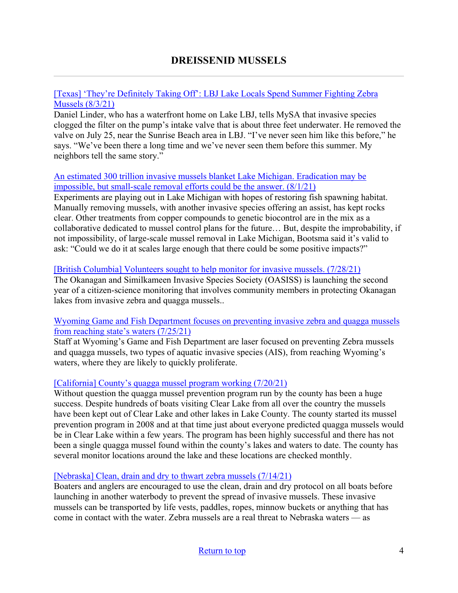#### [\[Texas\] 'They're Definitely Taking Off': LBJ Lake Locals Spend Summer Fighting Zebra](https://editor99.com/theyre-definitely-taking-off-lbj-lake-locals-spend-summer-fighting-zebra-mussels/)  [Mussels \(8/3/21\)](https://editor99.com/theyre-definitely-taking-off-lbj-lake-locals-spend-summer-fighting-zebra-mussels/)

Daniel Linder, who has a waterfront home on Lake LBJ, tells MySA that invasive species clogged the filter on the pump's intake valve that is about three feet underwater. He removed the valve on July 25, near the Sunrise Beach area in LBJ. "I've never seen him like this before," he says. "We've been there a long time and we've never seen them before this summer. My neighbors tell the same story."

#### [An estimated 300 trillion invasive mussels blanket Lake Michigan. Eradication may be](https://www.chicagotribune.com/news/environment/ct-lake-michigan-invasive-mussels-20210730-ucfuojar7nckpofre2efdpalkq-story.html) [impossible, but small-scale removal efforts could be the answer. \(8/1/21\)](https://www.chicagotribune.com/news/environment/ct-lake-michigan-invasive-mussels-20210730-ucfuojar7nckpofre2efdpalkq-story.html)

Experiments are playing out in Lake Michigan with hopes of restoring fish spawning habitat. Manually removing mussels, with another invasive species offering an assist, has kept rocks clear. Other treatments from copper compounds to genetic biocontrol are in the mix as a collaborative dedicated to mussel control plans for the future… But, despite the improbability, if not impossibility, of large-scale mussel removal in Lake Michigan, Bootsma said it's valid to ask: "Could we do it at scales large enough that there could be some positive impacts?"

#### [\[British Columbia\] Volunteers sought to help monitor for invasive mussels. \(7/28/21\)](https://www.castanet.net/news/Penticton/341353/Volunteers-sought-to-help-monitor-for-invasive-mussels)

The Okanagan and Similkameen Invasive Species Society (OASISS) is launching the second year of a citizen-science monitoring that involves community members in protecting Okanagan lakes from invasive zebra and quagga mussels..

#### [Wyoming Game and Fish Department focuses on preventing invasive zebra and quagga mussels](https://trib.com/news/state-and-regional/wyoming-game-and-fish-department-focuses-on-preventing-invasive-zebra-and-quagga-mussels-from-reaching/article_909b69a4-da59-5ee5-9d0d-310a4ae84a38.html)  [from reaching state's waters \(7/25/21\)](https://trib.com/news/state-and-regional/wyoming-game-and-fish-department-focuses-on-preventing-invasive-zebra-and-quagga-mussels-from-reaching/article_909b69a4-da59-5ee5-9d0d-310a4ae84a38.html)

Staff at Wyoming's Game and Fish Department are laser focused on preventing Zebra mussels and quagga mussels, two types of aquatic invasive species (AIS), from reaching Wyoming's waters, where they are likely to quickly proliferate.

## [\[California\] County's quagga mussel program working \(7/20/21\)](https://www.record-bee.com/2021/07/20/countys-quagga-mussel-program-working/)

Without question the quagga mussel prevention program run by the county has been a huge success. Despite hundreds of boats visiting Clear Lake from all over the country the mussels have been kept out of Clear Lake and other lakes in Lake County. The county started its mussel prevention program in 2008 and at that time just about everyone predicted quagga mussels would be in Clear Lake within a few years. The program has been highly successful and there has not been a single quagga mussel found within the county's lakes and waters to date. The county has several monitor locations around the lake and these locations are checked monthly.

#### [\[Nebraska\] Clean, drain and dry to thwart zebra mussels \(7/14/21\)](https://nptelegraph.com/opinion/columnists/geiser-clean-drain-and-dry-to-thwart-zebra-mussels/article_b756a0ee-e51c-11eb-ac5e-7f138f63cfe8.html)

Boaters and anglers are encouraged to use the clean, drain and dry protocol on all boats before launching in another waterbody to prevent the spread of invasive mussels. These invasive mussels can be transported by life vests, paddles, ropes, minnow buckets or anything that has come in contact with the water. Zebra mussels are a real threat to Nebraska waters — as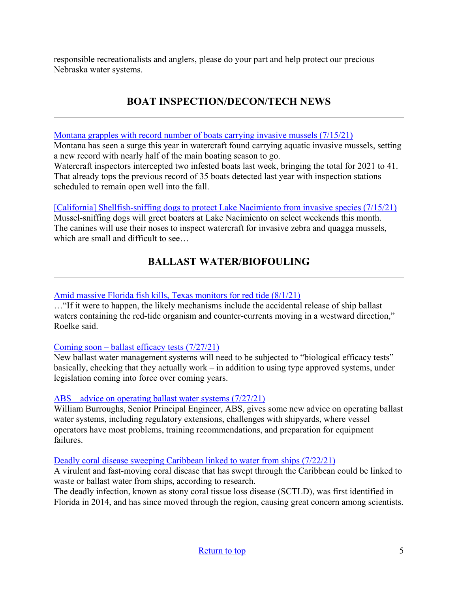responsible recreationalists and anglers, please do your part and help protect our precious Nebraska water systems.

# **BOAT INSPECTION/DECON/TECH NEWS**

<span id="page-4-0"></span>[Montana grapples with record number of boats carrying invasive mussels \(7/15/21\)](https://helenair.com/outdoors/montana-grapples-with-record-number-of-boats-carrying-invasive-mussels/article_1f33bf9e-8597-54ed-bbcb-45c0288dfe05.html)

Montana has seen a surge this year in watercraft found carrying aquatic invasive mussels, setting a new record with nearly half of the main boating season to go.

Watercraft inspectors intercepted two infested boats last week, bringing the total for 2021 to 41. That already tops the previous record of 35 boats detected last year with inspection stations scheduled to remain open well into the fall.

[\[California\] Shellfish-sniffing dogs to protect Lake Nacimiento from invasive species \(7/15/21\)](https://www.sanluisobispo.com/news/local/article252807733.html/) Mussel-sniffing dogs will greet boaters at Lake Nacimiento on select weekends this month. The canines will use their noses to inspect watercraft for invasive zebra and quagga mussels, which are small and difficult to see…

# **BALLAST WATER/BIOFOULING**

#### <span id="page-4-1"></span>[Amid massive Florida fish kills, Texas monitors for red tide \(8/1/21\)](https://www.galvnews.com/news/free/article_58e797d4-ebaf-566f-a0a9-1e46c88d8858.html)

…"If it were to happen, the likely mechanisms include the accidental release of ship ballast waters containing the red-tide organism and counter-currents moving in a westward direction," Roelke said.

#### [Coming soon – ballast efficacy tests \(7/27/21\)](https://www.tankeroperator.com/news/coming-soon--ballast-efficacy-tests/12508.aspx)

New ballast water management systems will need to be subjected to "biological efficacy tests" – basically, checking that they actually work – in addition to using type approved systems, under legislation coming into force over coming years.

#### [ABS – advice on operating ballast water systems \(7/27/21\)](https://www.tankeroperator.com/news/abs--advice-on-operating-ballast-water-systems/12507.aspx)

William Burroughs, Senior Principal Engineer, ABS, gives some new advice on operating ballast water systems, including regulatory extensions, challenges with shipyards, where vessel operators have most problems, training recommendations, and preparation for equipment failures.

#### [Deadly coral disease sweeping Caribbean linked to water from ships \(7/22/21\)](https://www.theguardian.com/environment/2021/jul/22/deadly-coral-disease-sweeping-caribbean-linked-to-wastewater-from-ships)

A virulent and fast-moving coral disease that has swept through the Caribbean could be linked to waste or ballast water from ships, according to research.

The deadly infection, known as stony coral tissue loss disease (SCTLD), was first identified in Florida in 2014, and has since moved through the region, causing great concern among scientists.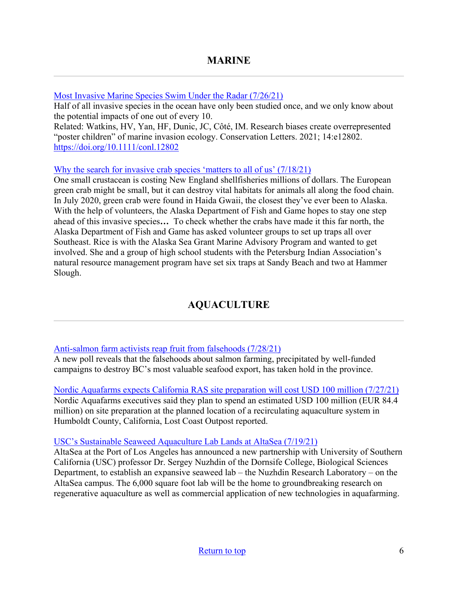<span id="page-5-0"></span>[Most Invasive Marine Species Swim Under the Radar \(7/26/21\)](https://www.hakaimagazine.com/news/most-invasive-marine-species-swim-under-the-radar/)

Half of all invasive species in the ocean have only been studied once, and we only know about the potential impacts of one out of every 10.

Related: Watkins, HV, Yan, HF, Dunic, JC, Côté, IM. Research biases create overrepresented "poster children" of marine invasion ecology. Conservation Letters. 2021; 14:e12802. <https://doi.org/10.1111/conl.12802>

#### [Why the search for invasive crab species 'matters to all of us' \(7/18/21\)](https://www.kfsk.org/2021/07/18/invasive-species-green-crab-southeast-alaska/)

One small crustacean is costing New England shellfisheries millions of dollars. The European green crab might be small, but it can destroy vital habitats for animals all along the food chain. In July 2020, green crab were found in Haida Gwaii, the closest they've ever been to Alaska. With the help of volunteers, the Alaska Department of Fish and Game hopes to stay one step ahead of this invasive species**…** To check whether the crabs have made it this far north, the Alaska Department of Fish and Game has asked volunteer groups to set up traps all over Southeast. Rice is with the Alaska Sea Grant Marine Advisory Program and wanted to get involved. She and a group of high school students with the Petersburg Indian Association's natural resource management program have set six traps at Sandy Beach and two at Hammer Slough.

# **AQUACULTURE**

## <span id="page-5-1"></span>[Anti-salmon farm activists reap fruit from falsehoods \(7/28/21\)](https://seawestnews.com/anti-salmon-farm-activists-reap-fruit-from-falsehoods/)

A new poll reveals that the falsehoods about salmon farming, precipitated by well-funded campaigns to destroy BC's most valuable seafood export, has taken hold in the province.

[Nordic Aquafarms expects California RAS site preparation will cost USD 100 million \(7/27/21\)](https://www.seafoodsource.com/news/aquaculture/nordic-aquafarms-expects-california-ras-site-preparation-will-cost-usd-100-million) Nordic Aquafarms executives said they plan to spend an estimated USD 100 million (EUR 84.4 million) on site preparation at the planned location of a recirculating aquaculture system in Humboldt County, California, Lost Coast Outpost reported.

#### [USC's Sustainable Seaweed Aquaculture Lab Lands at AltaSea \(7/19/21\)](https://finance.yahoo.com/news/usc-sustainable-seaweed-aquaculture-lab-172900499.html?guccounter=1&guce_referrer=aHR0cHM6Ly93d3cuZ29vZ2xlLmNvbS8&guce_referrer_sig=AQAAAFKgk6PbLDuRH_XzmTJvD4iwVBSFr9DJ3qj3Vzue5robYD6lNP8DqcXZnN2dSZxzlOp5uL5f_xnM_qn4xtAV36y4O6EzgQEr2DXWTt5dopQjQXxXAEQ-_kW9yYOeFMqhcZRDdn93ANf-cUtXycOketGqntfLxCSOmXjCRBwwMr30)

AltaSea at the Port of Los Angeles has announced a new partnership with University of Southern California (USC) professor Dr. Sergey Nuzhdin of the Dornsife College, Biological Sciences Department, to establish an expansive seaweed lab – the Nuzhdin Research Laboratory – on the AltaSea campus. The 6,000 square foot lab will be the home to groundbreaking research on regenerative aquaculture as well as commercial application of new technologies in aquafarming.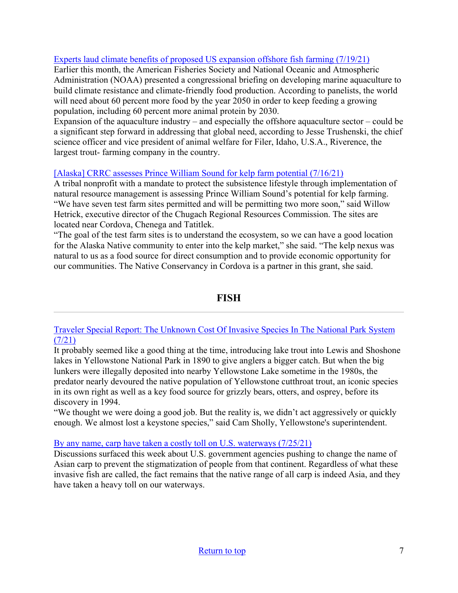### [Experts laud climate benefits of proposed US expansion offshore fish farming \(7/19/21\)](https://www.seafoodsource.com/news/aquaculture/american-fisheries-society-experts-laud-climate-benefits-of-offshore-fish-farming)

Earlier this month, the American Fisheries Society and National Oceanic and Atmospheric Administration (NOAA) presented a congressional briefing on developing marine aquaculture to build climate resistance and climate-friendly food production. According to panelists, the world will need about 60 percent more food by the year 2050 in order to keep feeding a growing population, including 60 percent more animal protein by 2030.

Expansion of the aquaculture industry – and especially the offshore aquaculture sector – could be a significant step forward in addressing that global need, according to Jesse Trushenski, the chief science officer and vice president of animal welfare for Filer, Idaho, U.S.A., Riverence, the largest trout- farming company in the country.

#### [\[Alaska\] CRRC assesses Prince William Sound for kelp farm potential \(7/16/21\)](https://www.thecordovatimes.com/2021/07/16/crrc-assesses-prince-william-sound-for-kelp-farm-potential/)

A tribal nonprofit with a mandate to protect the subsistence lifestyle through implementation of natural resource management is assessing Prince William Sound's potential for kelp farming. "We have seven test farm sites permitted and will be permitting two more soon," said Willow Hetrick, executive director of the Chugach Regional Resources Commission. The sites are located near Cordova, Chenega and Tatitlek.

"The goal of the test farm sites is to understand the ecosystem, so we can have a good location for the Alaska Native community to enter into the kelp market," she said. "The kelp nexus was natural to us as a food source for direct consumption and to provide economic opportunity for our communities. The Native Conservancy in Cordova is a partner in this grant, she said.

## **FISH**

<span id="page-6-0"></span>[Traveler Special Report: The Unknown Cost Of Invasive Species In The National Park System](https://www.nationalparkstraveler.org/2021/08/traveler-special-report-cost-invasive-species-national-park-system)   $(7/21)$ 

It probably seemed like a good thing at the time, introducing lake trout into Lewis and Shoshone lakes in Yellowstone National Park in 1890 to give anglers a bigger catch. But when the big lunkers were illegally deposited into nearby Yellowstone Lake sometime in the 1980s, the predator nearly devoured the native population of Yellowstone cutthroat trout, an iconic species in its own right as well as a key food source for grizzly bears, otters, and osprey, before its discovery in 1994.

"We thought we were doing a good job. But the reality is, we didn't act aggressively or quickly enough. We almost lost a keystone species," said Cam Sholly, Yellowstone's superintendent.

[By any name, carp have taken a costly toll on U.S. waterways \(7/25/21\)](https://sanduskyregister.com/news/333115/great-outdoors-by-any-name-carp-have-taken-a-costly-toll-on-us-waterways/)

Discussions surfaced this week about U.S. government agencies pushing to change the name of Asian carp to prevent the stigmatization of people from that continent. Regardless of what these invasive fish are called, the fact remains that the native range of all carp is indeed Asia, and they have taken a heavy toll on our waterways.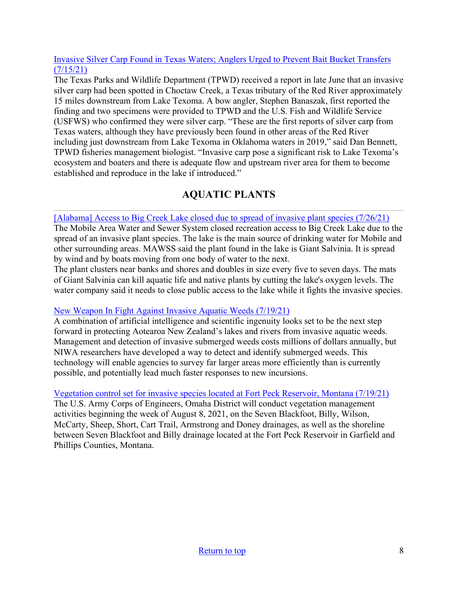#### [Invasive Silver Carp Found in Texas Waters; Anglers Urged to Prevent Bait Bucket Transfers](https://tpwd.texas.gov/newsmedia/releases/?req=20210715a)   $(7/15/21)$

The Texas Parks and Wildlife Department (TPWD) received a report in late June that an invasive silver carp had been spotted in Choctaw Creek, a Texas tributary of the Red River approximately 15 miles downstream from Lake Texoma. A bow angler, Stephen Banaszak, first reported the finding and two specimens were provided to TPWD and the U.S. Fish and Wildlife Service (USFWS) who confirmed they were silver carp. "These are the first reports of silver carp from Texas waters, although they have previously been found in other areas of the Red River including just downstream from Lake Texoma in Oklahoma waters in 2019," said Dan Bennett, TPWD fisheries management biologist. "Invasive carp pose a significant risk to Lake Texoma's ecosystem and boaters and there is adequate flow and upstream river area for them to become established and reproduce in the lake if introduced."

# **AQUATIC PLANTS**

### <span id="page-7-0"></span>[Alabama] [Access to Big Creek Lake closed due to spread of invasive plant species](https://www.fox10tv.com/news/mobile_county/access-to-big-creek-lake-closed-due-to-spread-of-invasive-plant-species/article_91e93cc2-ee5e-11eb-8cf2-c33e0ce63122.html) (7/26/21)

The Mobile Area Water and Sewer System closed recreation access to Big Creek Lake due to the spread of an invasive plant species. The lake is the main source of drinking water for Mobile and other surrounding areas. MAWSS said the plant found in the lake is Giant Salvinia. It is spread by wind and by boats moving from one body of water to the next.

The plant clusters near banks and shores and doubles in size every five to seven days. The mats of Giant Salvinia can kill aquatic life and native plants by cutting the lake's oxygen levels. The water company said it needs to close public access to the lake while it fights the invasive species.

## [New Weapon In Fight Against Invasive Aquatic Weeds \(7/19/21\)](https://www.scoop.co.nz/stories/SC2107/S00049/new-weapon-in-fight-against-invasive-aquatic-weeds.htm)

A combination of artificial intelligence and scientific ingenuity looks set to be the next step forward in protecting Aotearoa New Zealand's lakes and rivers from invasive aquatic weeds. Management and detection of invasive submerged weeds costs millions of dollars annually, but NIWA researchers have developed a way to detect and identify submerged weeds. This technology will enable agencies to survey far larger areas more efficiently than is currently possible, and potentially lead much faster responses to new incursions.

## [Vegetation control set for invasive species located at Fort Peck Reservoir, Montana \(7/19/21\)](https://www.willistonherald.com/news/regional/vegetation-control-set-for-invasive-species-located-at-fort-peck-reservoir-montana/article_cdd6ef7c-e8e1-11eb-a9ee-eba920e342d1.html)

The U.S. Army Corps of Engineers, Omaha District will conduct vegetation management activities beginning the week of August 8, 2021, on the Seven Blackfoot, Billy, Wilson, McCarty, Sheep, Short, Cart Trail, Armstrong and Doney drainages, as well as the shoreline between Seven Blackfoot and Billy drainage located at the Fort Peck Reservoir in Garfield and Phillips Counties, Montana.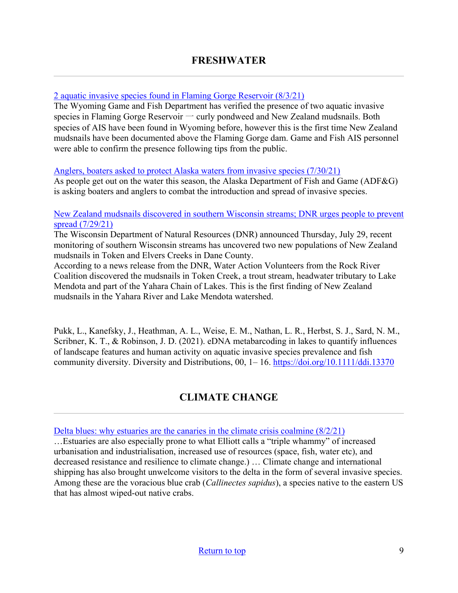#### <span id="page-8-1"></span><span id="page-8-0"></span>[2 aquatic invasive species found in Flaming Gorge Reservoir \(8/3/21\)](https://county10.com/2-aquatic-invasive-species-found-in-flaming-gorge-reservoir/)

The Wyoming Game and Fish Department has verified the presence of two aquatic invasive species in Flaming Gorge Reservoir  $\rightarrow$  curly pondweed and New Zealand mudsnails. Both species of AIS have been found in Wyoming before, however this is the first time New Zealand mudsnails have been documented above the Flaming Gorge dam. Game and Fish AIS personnel were able to confirm the presence following tips from the public.

#### [Anglers, boaters asked to protect Alaska waters from invasive species \(7/30/21\)](https://www.newsminer.com/features/outdoors/anglers-boaters-asked-to-protect-alaska-waters-from-invasive-species/article_3842b832-f0cb-11eb-a970-effc1a09d55a.html)

As people get out on the water this season, the Alaska Department of Fish and Game (ADF&G) is asking boaters and anglers to combat the introduction and spread of invasive species.

#### [New Zealand mudsnails discovered in southern Wisconsin streams; DNR urges people to prevent](https://www.cbs58.com/news/new-zealand-mundsnails-discovered-in-southern-wisconsin-streams-dnr-urges-people-to-prevent-spread)  [spread \(7/29/21\)](https://www.cbs58.com/news/new-zealand-mundsnails-discovered-in-southern-wisconsin-streams-dnr-urges-people-to-prevent-spread)

The Wisconsin Department of Natural Resources (DNR) announced Thursday, July 29, recent monitoring of southern Wisconsin streams has uncovered two new populations of New Zealand mudsnails in Token and Elvers Creeks in Dane County.

According to a news release from the DNR, Water Action Volunteers from the Rock River Coalition discovered the mudsnails in Token Creek, a trout stream, headwater tributary to Lake Mendota and part of the Yahara Chain of Lakes. This is the first finding of New Zealand mudsnails in the Yahara River and Lake Mendota watershed.

Pukk, L., Kanefsky, J., Heathman, A. L., Weise, E. M., Nathan, L. R., Herbst, S. J., Sard, N. M., Scribner, K. T., & Robinson, J. D. (2021). eDNA metabarcoding in lakes to quantify influences of landscape features and human activity on aquatic invasive species prevalence and fish community diversity. Diversity and Distributions, 00, 1–16.<https://doi.org/10.1111/ddi.13370>

## **CLIMATE CHANGE**

Delta blues: why estuaries are the canaries in the climate crisis coalmine  $(8/2/21)$ 

…Estuaries are also especially prone to what Elliott calls a "triple whammy" of increased urbanisation and industrialisation, increased use of resources (space, fish, water etc), and decreased resistance and resilience to climate change.) … Climate change and international shipping has also brought unwelcome visitors to the delta in the form of several invasive species. Among these are the voracious blue crab (*Callinectes sapidus*), a species native to the eastern US that has almost wiped-out native crabs.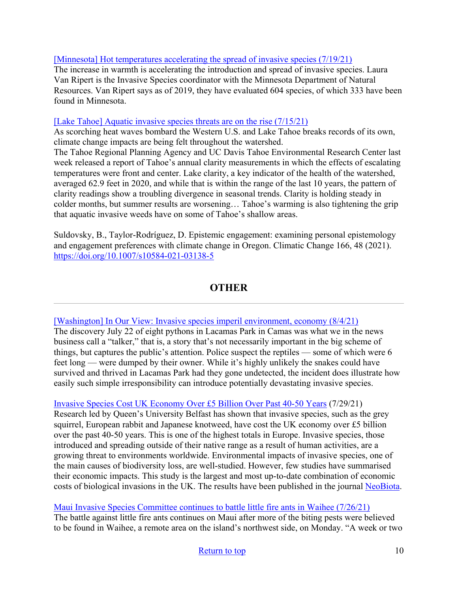#### [\[Minnesota\] Hot temperatures accelerating the spread of invasive species \(7/19/21\)](https://www.wdio.com/news/environmental-series-hot-temps-invasive-species/6176921/)

The increase in warmth is accelerating the introduction and spread of invasive species. Laura Van Ripert is the Invasive Species coordinator with the Minnesota Department of Natural Resources. Van Ripert says as of 2019, they have evaluated 604 species, of which 333 have been found in Minnesota.

#### [\[Lake Tahoe\] Aquatic invasive species threats are on the rise \(7/15/21\)](https://www.tahoedailytribune.com/news/opinion/aquatic-invasive-species-threats-are-on-the-rise-opinion/)

As scorching heat waves bombard the Western U.S. and Lake Tahoe breaks records of its own, climate change impacts are being felt throughout the watershed.

The Tahoe Regional Planning Agency and UC Davis Tahoe Environmental Research Center last week released a report of Tahoe's annual clarity measurements in which the effects of escalating temperatures were front and center. Lake clarity, a key indicator of the health of the watershed, averaged 62.9 feet in 2020, and while that is within the range of the last 10 years, the pattern of clarity readings show a troubling divergence in seasonal trends. Clarity is holding steady in colder months, but summer results are worsening… Tahoe's warming is also tightening the grip that aquatic invasive weeds have on some of Tahoe's shallow areas.

Suldovsky, B., Taylor-Rodríguez, D. Epistemic engagement: examining personal epistemology and engagement preferences with climate change in Oregon. Climatic Change 166, 48 (2021). <https://doi.org/10.1007/s10584-021-03138-5>

# **OTHER**

#### <span id="page-9-0"></span>[\[Washington\] In Our View: Invasive species imperil environment, economy \(8/4/21\)](https://www.columbian.com/news/2021/aug/04/in-our-view-invasive-species-imperil-environment-economy/)

The discovery July 22 of eight pythons in Lacamas Park in Camas was what we in the news business call a "talker," that is, a story that's not necessarily important in the big scheme of things, but captures the public's attention. Police suspect the reptiles — some of which were 6 feet long — were dumped by their owner. While it's highly unlikely the snakes could have survived and thrived in Lacamas Park had they gone undetected, the incident does illustrate how easily such simple irresponsibility can introduce potentially devastating invasive species.

#### [Invasive Species Cost UK Economy Over £5 Billion Over Past 40-50 Years](https://www.qub.ac.uk/News/Allnews/InvasivespeciescostUKeconomyover5billionoverpast40-50years.html?utm_source=feedburnerNational+Invasive+Species+Information+Center+-+What%27s+New&utm_medium=email&utm_campaign=Feed%3A+nisic+%28National+Invasive+Species+Information+Center+-+What%27s+New%29) (7/29/21)

Research led by Queen's University Belfast has shown that invasive species, such as the grey squirrel, European rabbit and Japanese knotweed, have cost the UK economy over £5 billion over the past 40-50 years. This is one of the highest totals in Europe. Invasive species, those introduced and spreading outside of their native range as a result of human activities, are a growing threat to environments worldwide. Environmental impacts of invasive species, one of the main causes of biodiversity loss, are well-studied. However, few studies have summarised their economic impacts. This study is the largest and most up-to-date combination of economic costs of biological invasions in the UK. The results have been published in the journal [NeoBiota.](https://neobiota.pensoft.net/article/59743/)

#### [Maui Invasive Species Committee continues to battle little fire ants in Waihee \(7/26/21\)](https://www.hawaiinewsnow.com/2021/07/27/maui-invasive-species-committee-continues-battle-little-fire-ants-waihee/)

The battle against little fire ants continues on Maui after more of the biting pests were believed to be found in Waihee, a remote area on the island's northwest side, on Monday. "A week or two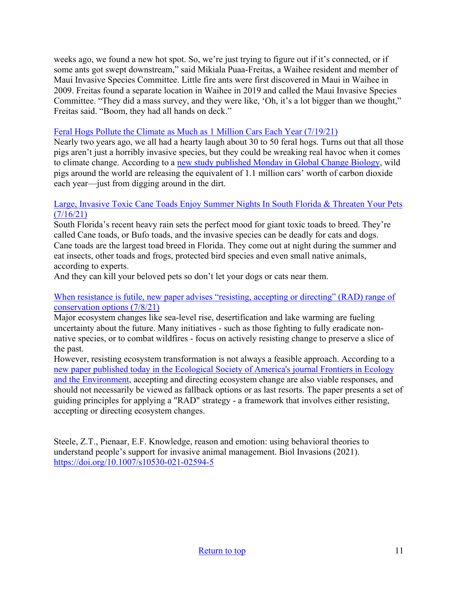weeks ago, we found a new hot spot. So, we're just trying to figure out if it's connected, or if some ants got swept downstream," said Mikiala Puaa-Freitas, a Waihee resident and member of Maui Invasive Species Committee. Little fire ants were first discovered in Maui in Waihee in 2009. Freitas found a separate location in Waihee in 2019 and called the Maui Invasive Species Committee. "They did a mass survey, and they were like, 'Oh, it's a lot bigger than we thought," Freitas said. "Boom, they had all hands on deck."

#### [Feral Hogs Pollute the Climate as Much as 1 Million Cars Each Year \(7/19/21\)](https://gizmodo.com/feral-hogs-pollute-the-climate-as-much-as-1-million-car-1847319891)

Nearly two years ago, we all had a hearty laugh about 30 to 50 feral hogs. Turns out that all those pigs aren't just a horribly invasive species, but they could be wreaking real havoc when it comes to climate change. According to a [new study published Monday in Global Change Biology,](https://onlinelibrary.wiley.com/doi/10.1111/gcb.15769) wild pigs around the world are releasing the equivalent of 1.1 million cars' worth of carbon dioxide each year—just from digging around in the dirt.

#### [Large, Invasive Toxic Cane Toads Enjoy Summer Nights In South Florida & Threaten Your Pets](https://miami.cbslocal.com/2021/07/16/toxic-cane-toads-south-florida-pets/)   $(7/16/21)$

South Florida's recent heavy rain sets the perfect mood for giant toxic toads to breed. They're called Cane toads, or Bufo toads, and the invasive species can be deadly for cats and dogs. Cane toads are the largest toad breed in Florida. They come out at night during the summer and eat insects, other toads and frogs, protected bird species and even small native animals, according to experts.

And they can kill your beloved pets so don't let your dogs or cats near them.

#### When resistance is futile, new paper advises "resisting, accepting or directing" (RAD) range of [conservation options \(7/8/21\)](https://www.eurekalert.org/news-releases/585575)

Major ecosystem changes like sea-level rise, desertification and lake warming are fueling uncertainty about the future. Many initiatives - such as those fighting to fully eradicate nonnative species, or to combat wildfires - focus on actively resisting change to preserve a slice of the past.

However, resisting ecosystem transformation is not always a feasible approach. According to a [new paper published today in the Ecological Society of America's journal Frontiers in Ecology](https://esajournals.onlinelibrary.wiley.com/doi/full/10.1002/fee.2377)  [and the Environment,](https://esajournals.onlinelibrary.wiley.com/doi/full/10.1002/fee.2377) accepting and directing ecosystem change are also viable responses, and should not necessarily be viewed as fallback options or as last resorts. The paper presents a set of guiding principles for applying a "RAD" strategy - a framework that involves either resisting, accepting or directing ecosystem changes.

Steele, Z.T., Pienaar, E.F. Knowledge, reason and emotion: using behavioral theories to understand people's support for invasive animal management. Biol Invasions (2021). <https://doi.org/10.1007/s10530-021-02594-5>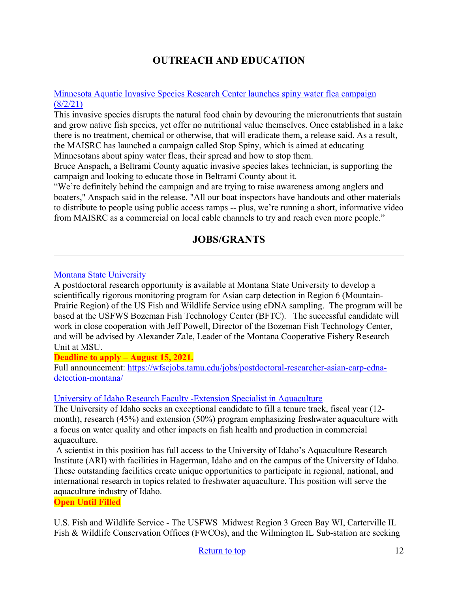# **OUTREACH AND EDUCATION**

#### [Minnesota Aquatic Invasive Species Research Center launches spiny water flea campaign](https://www.bemidjipioneer.com/northland-outdoors/7136325-Minnesota-Aquatic-Invasive-Species-Research-Center-launches-spiny-water-flea-campaign)  [\(8/2/21\)](https://www.bemidjipioneer.com/northland-outdoors/7136325-Minnesota-Aquatic-Invasive-Species-Research-Center-launches-spiny-water-flea-campaign)

This invasive species disrupts the natural food chain by devouring the micronutrients that sustain and grow native fish species, yet offer no nutritional value themselves. Once established in a lake there is no treatment, chemical or otherwise, that will eradicate them, a release said. As a result, the MAISRC has launched a campaign called Stop Spiny, which is aimed at educating Minnesotans about spiny water fleas, their spread and how to stop them.

Bruce Anspach, a Beltrami County aquatic invasive species lakes technician, is supporting the campaign and looking to educate those in Beltrami County about it.

"We're definitely behind the campaign and are trying to raise awareness among anglers and boaters," Anspach said in the release. "All our boat inspectors have handouts and other materials to distribute to people using public access ramps -- plus, we're running a short, informative video from MAISRC as a commercial on local cable channels to try and reach even more people."

## **JOBS/GRANTS**

#### <span id="page-11-0"></span>[Montana State University](https://wfscjobs.tamu.edu/jobs/postdoctoral-researcher-asian-carp-edna-detection-montana/)

A postdoctoral research opportunity is available at Montana State University to develop a scientifically rigorous monitoring program for Asian carp detection in Region 6 (Mountain-Prairie Region) of the US Fish and Wildlife Service using eDNA sampling. The program will be based at the USFWS Bozeman Fish Technology Center (BFTC). The successful candidate will work in close cooperation with Jeff Powell, Director of the Bozeman Fish Technology Center, and will be advised by Alexander Zale, Leader of the Montana Cooperative Fishery Research Unit at MSU.

#### **Deadline to apply – August 15, 2021.**

Full announcement: [https://wfscjobs.tamu.edu/jobs/postdoctoral-researcher-asian-carp-edna](https://wfscjobs.tamu.edu/jobs/postdoctoral-researcher-asian-carp-edna-detection-montana/)[detection-montana/](https://wfscjobs.tamu.edu/jobs/postdoctoral-researcher-asian-carp-edna-detection-montana/)

#### [University of Idaho Research Faculty -Extension Specialist in Aquaculture](https://uidaho.peopleadmin.com/postings/32491)

The University of Idaho seeks an exceptional candidate to fill a tenure track, fiscal year (12 month), research (45%) and extension (50%) program emphasizing freshwater aquaculture with a focus on water quality and other impacts on fish health and production in commercial aquaculture.

A scientist in this position has full access to the University of Idaho's Aquaculture Research Institute (ARI) with facilities in Hagerman, Idaho and on the campus of the University of Idaho. These outstanding facilities create unique opportunities to participate in regional, national, and international research in topics related to freshwater aquaculture. This position will serve the aquaculture industry of Idaho.

**Open Until Filled**

U.S. Fish and Wildlife Service - The USFWS Midwest Region 3 Green Bay WI, Carterville IL Fish & Wildlife Conservation Offices (FWCOs), and the Wilmington IL Sub-station are seeking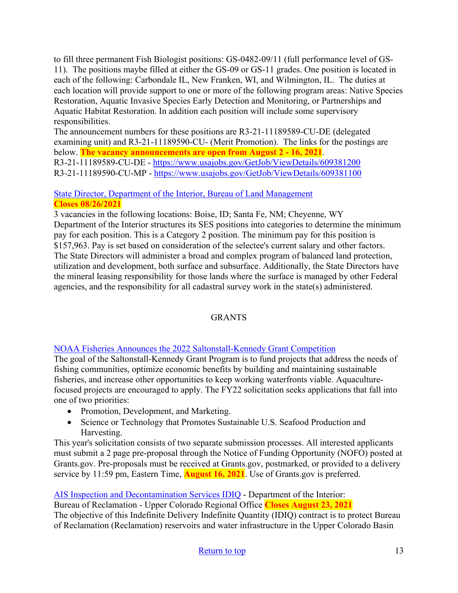to fill three permanent Fish Biologist positions: GS-0482-09/11 (full performance level of GS-11). The positions maybe filled at either the GS-09 or GS-11 grades. One position is located in each of the following: Carbondale IL, New Franken, WI, and Wilmington, IL. The duties at each location will provide support to one or more of the following program areas: Native Species Restoration, Aquatic Invasive Species Early Detection and Monitoring, or Partnerships and Aquatic Habitat Restoration. In addition each position will include some supervisory responsibilities.

The announcement numbers for these positions are R3-21-11189589-CU-DE (delegated examining unit) and R3-21-11189590-CU- (Merit Promotion). The links for the postings are below. **The vacancy announcements are open from August 2 - 16, 2021**. R3-21-11189589-CU-DE -<https://www.usajobs.gov/GetJob/ViewDetails/609381200> R3-21-11189590-CU-MP -<https://www.usajobs.gov/GetJob/ViewDetails/609381100>

## [State Director, Department of the Interior, Bureau of Land Management](https://www.usajobs.gov/GetJob/ViewDetails/608540200) **Closes 08/26/2021**

3 vacancies in the following locations: Boise, ID; Santa Fe, NM; Cheyenne, WY Department of the Interior structures its SES positions into categories to determine the minimum pay for each position. This is a Category 2 position. The minimum pay for this position is \$157,963. Pay is set based on consideration of the selectee's current salary and other factors. The State Directors will administer a broad and complex program of balanced land protection, utilization and development, both surface and subsurface. Additionally, the State Directors have the mineral leasing responsibility for those lands where the surface is managed by other Federal agencies, and the responsibility for all cadastral survey work in the state(s) administered.

## GRANTS

## [NOAA Fisheries Announces the 2022 Saltonstall-Kennedy Grant Competition](https://www.fisheries.noaa.gov/national/funding-and-financial-services/saltonstall-kennedy-research-and-development-program?utm_medium=email&utm_source=govdelivery)

The goal of the Saltonstall-Kennedy Grant Program is to fund projects that address the needs of fishing communities, optimize economic benefits by building and maintaining sustainable fisheries, and increase other opportunities to keep working waterfronts viable. Aquaculturefocused projects are encouraged to apply. The FY22 solicitation seeks applications that fall into one of two priorities:

- Promotion, Development, and Marketing.
- Science or Technology that Promotes Sustainable U.S. Seafood Production and Harvesting.

This year's solicitation consists of two separate submission processes. All interested applicants must submit a 2 page pre-proposal through the Notice of Funding Opportunity (NOFO) posted at Grants.gov. Pre-proposals must be received at Grants.gov, postmarked, or provided to a delivery service by 11:59 pm, Eastern Time, **August 16, 2021**. Use of Grants.gov is preferred.

## [AIS Inspection and Decontamination Services IDIQ](https://sam.gov/opp/d8608bea8cbb49da984a767895d6094e/view) - Department of the Interior:

Bureau of Reclamation - Upper Colorado Regional Office **Closes August 23, 2021** The objective of this Indefinite Delivery Indefinite Quantity (IDIQ) contract is to protect Bureau of Reclamation (Reclamation) reservoirs and water infrastructure in the Upper Colorado Basin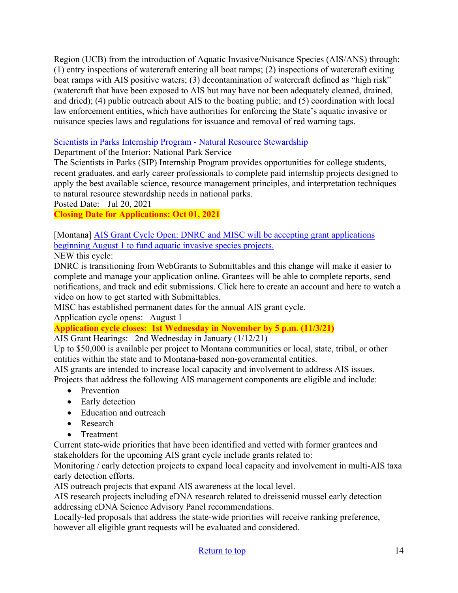Region (UCB) from the introduction of Aquatic Invasive/Nuisance Species (AIS/ANS) through: (1) entry inspections of watercraft entering all boat ramps; (2) inspections of watercraft exiting boat ramps with AIS positive waters; (3) decontamination of watercraft defined as "high risk" (watercraft that have been exposed to AIS but may have not been adequately cleaned, drained, and dried); (4) public outreach about AIS to the boating public; and (5) coordination with local law enforcement entities, which have authorities for enforcing the State's aquatic invasive or nuisance species laws and regulations for issuance and removal of red warning tags.

## [Scientists in Parks Internship Program - Natural Resource Stewardship](https://www.grants.gov/web/grants/view-opportunity.html?oppId=334848)

Department of the Interior: National Park Service

The Scientists in Parks (SIP) Internship Program provides opportunities for college students, recent graduates, and early career professionals to complete paid internship projects designed to apply the best available science, resource management principles, and interpretation techniques to natural resource stewardship needs in national parks.

Posted Date: Jul 20, 2021

**Closing Date for Applications: Oct 01, 2021** 

[\[Montana\] AIS Grant Cycle Open: DNRC and MISC will be accepting grant applications](https://invasivespecies.mt.gov/montana-invasive-species/Aquatic-Invasive-Species-Grant-Program)  beginning August 1 to fund aquatic invasive species projects.

NEW this cycle:

DNRC is transitioning from WebGrants to Submittables and this change will make it easier to complete and manage your application online. Grantees will be able to complete reports, send notifications, and track and edit submissions. Click here to create an account and here to watch a video on how to get started with Submittables.

MISC has established permanent dates for the annual AIS grant cycle.

Application cycle opens: August 1

**Application cycle closes: 1st Wednesday in November by 5 p.m. (11/3/21)** 

AIS Grant Hearings: 2nd Wednesday in January (1/12/21)

Up to \$50,000 is available per project to Montana communities or local, state, tribal, or other entities within the state and to Montana-based non-governmental entities.

AIS grants are intended to increase local capacity and involvement to address AIS issues.

Projects that address the following AIS management components are eligible and include:

- Prevention
- Early detection
- Education and outreach
- Research
- Treatment

Current state-wide priorities that have been identified and vetted with former grantees and stakeholders for the upcoming AIS grant cycle include grants related to:

Monitoring / early detection projects to expand local capacity and involvement in multi-AIS taxa early detection efforts.

AIS outreach projects that expand AIS awareness at the local level.

AIS research projects including eDNA research related to dreissenid mussel early detection addressing eDNA Science Advisory Panel recommendations.

Locally-led proposals that address the state-wide priorities will receive ranking preference, however all eligible grant requests will be evaluated and considered.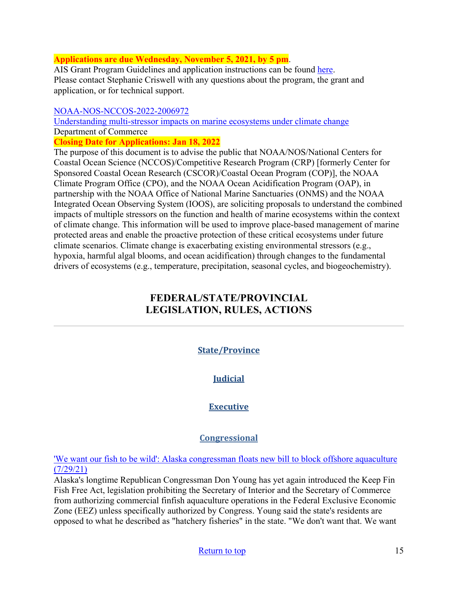#### **Applications are due Wednesday, November 5, 2021, by 5 pm**.

AIS Grant Program Guidelines and application instructions can be found [here.](https://invasivespecies.mt.gov/montana-invasive-species/Aquatic-Invasive-Species-Grant-Program) Please contact Stephanie Criswell with any questions about the program, the grant and application, or for technical support.

#### [NOAA-NOS-NCCOS-2022-2006972](https://www.grants.gov/web/grants/view-opportunity.html?oppId=334906)

[Understanding multi-stressor impacts on marine ecosystems under climate change](https://www.grants.gov/web/grants/view-opportunity.html?oppId=334906) Department of Commerce

**Closing Date for Applications: Jan 18, 2022** 

The purpose of this document is to advise the public that NOAA/NOS/National Centers for Coastal Ocean Science (NCCOS)/Competitive Research Program (CRP) [formerly Center for Sponsored Coastal Ocean Research (CSCOR)/Coastal Ocean Program (COP)], the NOAA Climate Program Office (CPO), and the NOAA Ocean Acidification Program (OAP), in partnership with the NOAA Office of National Marine Sanctuaries (ONMS) and the NOAA Integrated Ocean Observing System (IOOS), are soliciting proposals to understand the combined impacts of multiple stressors on the function and health of marine ecosystems within the context of climate change. This information will be used to improve place-based management of marine protected areas and enable the proactive protection of these critical ecosystems under future climate scenarios. Climate change is exacerbating existing environmental stressors (e.g., hypoxia, harmful algal blooms, and ocean acidification) through changes to the fundamental drivers of ecosystems (e.g., temperature, precipitation, seasonal cycles, and biogeochemistry).

# <span id="page-14-0"></span>**FEDERAL/STATE/PROVINCIAL LEGISLATION, RULES, ACTIONS**

## **State/Province**

## **Judicial**

## **Executive**

## **Congressional**

['We want our fish to be wild': Alaska congressman floats new bill to block offshore aquaculture](https://www.intrafish.com/aquaculture/we-want-our-fish-to-be-wild-alaska-congressman-floats-new-bill-to-block-offshore-aquaculture/2-1-1046193)  [\(7/29/21\)](https://www.intrafish.com/aquaculture/we-want-our-fish-to-be-wild-alaska-congressman-floats-new-bill-to-block-offshore-aquaculture/2-1-1046193)

Alaska's longtime Republican Congressman Don Young has yet again introduced the Keep Fin Fish Free Act, legislation prohibiting the Secretary of Interior and the Secretary of Commerce from authorizing commercial finfish aquaculture operations in the Federal Exclusive Economic Zone (EEZ) unless specifically authorized by Congress. Young said the state's residents are opposed to what he described as "hatchery fisheries" in the state. "We don't want that. We want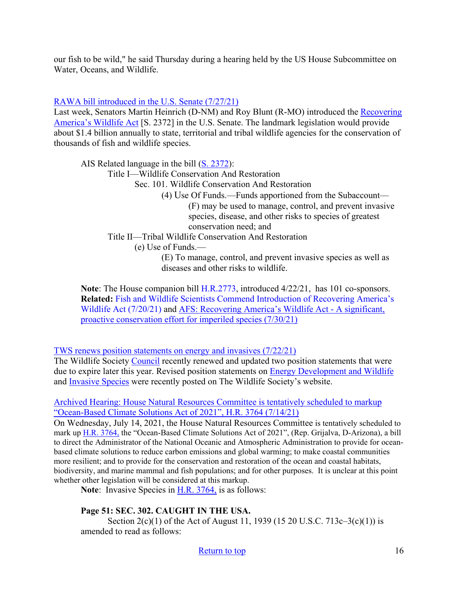our fish to be wild," he said Thursday during a hearing held by the US House Subcommittee on Water, Oceans, and Wildlife.

#### RAWA bill introduced in the U.S. Senate (7/27/21)

Last week, Senators Martin Heinrich (D-NM) and Roy Blunt (R-MO) introduced the [Recovering](https://www.wildlife.org/recovering-americas-wildlife-act)  [America's Wildlife Act](https://www.wildlife.org/recovering-americas-wildlife-act) [S. 2372] in the U.S. Senate. The landmark legislation would provide about \$1.4 billion annually to state, territorial and tribal wildlife agencies for the conservation of thousands of fish and wildlife species.

AIS Related language in the bill [\(S. 2372\)](https://www.congress.gov/bill/117th-congress/senate-bill/2372): Title I—Wildlife Conservation And Restoration Sec. 101. Wildlife Conservation And Restoration (4) Use Of Funds.—Funds apportioned from the Subaccount— (F) may be used to manage, control, and prevent invasive species, disease, and other risks to species of greatest conservation need; and Title II—Tribal Wildlife Conservation And Restoration (e) Use of Funds.— (E) To manage, control, and prevent invasive species as well as diseases and other risks to wildlife.

**Note**: The House companion bill [H.R.2773,](https://www.congress.gov/bill/117th-congress/house-bill/2773) introduced 4/22/21, has 101 co-sponsors. **Related:** [Fish and Wildlife Scientists Commend Introduction of Recovering America's](https://fisheries.org/2021/07/fish-and-wildlife-scientists-commend-introduction-of-recovering-americas-wildlife-act/)  [Wildlife Act \(7/20/21\)](https://fisheries.org/2021/07/fish-and-wildlife-scientists-commend-introduction-of-recovering-americas-wildlife-act/) and [AFS: Recovering America's Wildlife Act - A significant,](https://fisheries.org/policy-media/recovering-americas-wildlife-act/?utm_source=mailpoet&utm_medium=email&utm_campaign=Newsletter+07-30-2021)  [proactive conservation effort for imperiled species \(7/30/21\)](https://fisheries.org/policy-media/recovering-americas-wildlife-act/?utm_source=mailpoet&utm_medium=email&utm_campaign=Newsletter+07-30-2021)

[TWS renews position statements on energy and invasives \(7/22/21\)](https://wildlife.org/tws-renews-position-statements-on-energy-and-invasives/)

The Wildlife Society [Council](https://wildlife.org/leadership-and-values/) recently renewed and updated two position statements that were due to expire later this year. Revised position statements on [Energy Development and Wildlife](https://wildlife.org/tws-position-statement-energy-development-and-wildlife/) and [Invasive Species](https://wildlife.org/tws-position-statement-invasive-and-feral-species/) were recently posted on The Wildlife Society's website.

[Archived Hearing: House Natural Resources Committee is tentatively scheduled to markup](https://naturalresources.house.gov/hearings/remote-fc-markup-71421)  ["Ocean-Based Climate Solutions Act of 2021", H.R. 3764 \(7/14/21\)](https://naturalresources.house.gov/hearings/remote-fc-markup-71421) 

On Wednesday, July 14, 2021, the House Natural Resources Committee is tentatively scheduled to mark up [H.R. 3764,](https://www.congress.gov/bill/117th-congress/house-bill/3764) the "Ocean-Based Climate Solutions Act of 2021", (Rep. Grijalva, D-Arizona), a bill to direct the Administrator of the National Oceanic and Atmospheric Administration to provide for oceanbased climate solutions to reduce carbon emissions and global warming; to make coastal communities more resilient; and to provide for the conservation and restoration of the ocean and coastal habitats, biodiversity, and marine mammal and fish populations; and for other purposes. It is unclear at this point whether other legislation will be considered at this markup.

Note: Invasive Species in **H.R. 3764**, is as follows:

#### **Page 51: SEC. 302. CAUGHT IN THE USA.**

Section 2(c)(1) of the Act of August 11, 1939 (15 20 U.S.C. 713c–3(c)(1)) is amended to read as follows: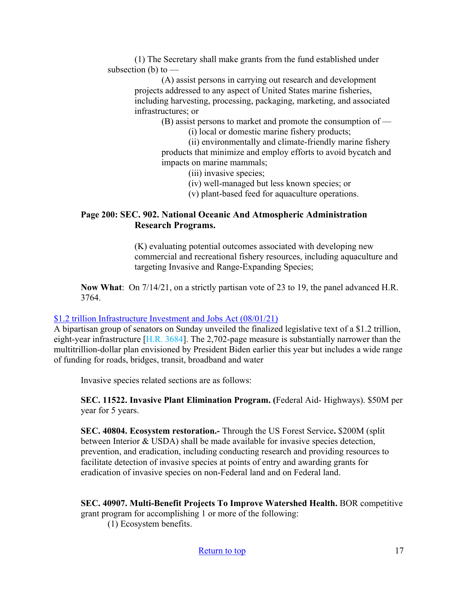(1) The Secretary shall make grants from the fund established under subsection  $(b)$  to  $-$ 

(A) assist persons in carrying out research and development projects addressed to any aspect of United States marine fisheries, including harvesting, processing, packaging, marketing, and associated infrastructures; or

(B) assist persons to market and promote the consumption of —

(i) local or domestic marine fishery products;

(ii) environmentally and climate-friendly marine fishery products that minimize and employ efforts to avoid bycatch and impacts on marine mammals;

(iii) invasive species;

(iv) well-managed but less known species; or

(v) plant-based feed for aquaculture operations.

#### **Page 200: SEC. 902. National Oceanic And Atmospheric Administration Research Programs.**

(K) evaluating potential outcomes associated with developing new commercial and recreational fishery resources, including aquaculture and targeting Invasive and Range-Expanding Species;

**Now What**: On 7/14/21, on a strictly partisan vote of 23 to 19, the panel advanced H.R. 3764.

#### [\\$1.2 trillion Infrastructure Investment and Jobs Act \(08/01/21\)](https://thehill.com/homenews/senate/565873-read-the-12-trillion-infrastructure-investment-and-jobs-act)

A bipartisan group of senators on Sunday unveiled the finalized legislative text of a \$1.2 trillion, eight-year infrastructure [\[H.R. 3684\]](https://www.epw.senate.gov/public/_cache/files/e/a/ea1eb2e4-56bd-45f1-a260-9d6ee951bc96/F8A7C77D69BE09151F210EB4DFE872CD.edw21a09.pdf). The 2,702-page measure is substantially narrower than the multitrillion-dollar plan envisioned by President Biden earlier this year but includes a wide range of funding for roads, bridges, transit, broadband and water

Invasive species related sections are as follows:

**SEC. 11522. Invasive Plant Elimination Program. (**Federal Aid- Highways). \$50M per year for 5 years.

**SEC. 40804. Ecosystem restoration.-** Through the US Forest Service**.** \$200M (split between Interior & USDA) shall be made available for invasive species detection, prevention, and eradication, including conducting research and providing resources to facilitate detection of invasive species at points of entry and awarding grants for eradication of invasive species on non-Federal land and on Federal land.

**SEC. 40907. Multi-Benefit Projects To Improve Watershed Health.** BOR competitive grant program for accomplishing 1 or more of the following:

(1) Ecosystem benefits.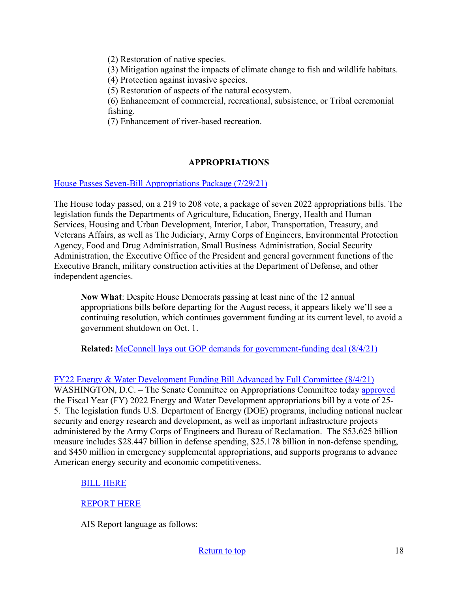(2) Restoration of native species.

(3) Mitigation against the impacts of climate change to fish and wildlife habitats.

(4) Protection against invasive species.

(5) Restoration of aspects of the natural ecosystem.

(6) Enhancement of commercial, recreational, subsistence, or Tribal ceremonial fishing.

(7) Enhancement of river-based recreation.

## **APPROPRIATIONS**

[House Passes Seven-Bill Appropriations Package \(7/29/21\)](https://appropriations.house.gov/news/press-releases/house-passes-seven-bill-appropriations-package)

The House today passed, on a 219 to 208 vote, a package of seven 2022 appropriations bills. The legislation funds the Departments of Agriculture, Education, Energy, Health and Human Services, Housing and Urban Development, Interior, Labor, Transportation, Treasury, and Veterans Affairs, as well as The Judiciary, Army Corps of Engineers, Environmental Protection Agency, Food and Drug Administration, Small Business Administration, Social Security Administration, the Executive Office of the President and general government functions of the Executive Branch, military construction activities at the Department of Defense, and other independent agencies.

**Now What**: Despite House Democrats passing at least nine of the 12 annual appropriations bills before departing for the August recess, it appears likely we'll see a continuing resolution, which continues government funding at its current level, to avoid a government shutdown on Oct. 1.

**Related:** [McConnell lays out GOP demands for government-funding deal \(8/4/21\)](https://thehill.com/homenews/senate/566320-mcconnell-lays-out-gop-demands-for-government-funding-deal) 

[FY22 Energy & Water Development Funding Bill Advanced by Full Committee \(8/4/21\)](https://www.appropriations.senate.gov/news/fy22-energy-and-water-development-funding-bill-advanced-by-full-committee)

WASHINGTON, D.C. – The Senate Committee on Appropriations Committee today [approved](https://www.appropriations.senate.gov/hearings/markup-of-the-fy-22-energy-and-water-agriculture-and-milcon-va-appropriations-bills-) the Fiscal Year (FY) 2022 Energy and Water Development appropriations bill by a vote of 25- 5. The legislation funds U.S. Department of Energy (DOE) programs, including national nuclear security and energy research and development, as well as important infrastructure projects administered by the Army Corps of Engineers and Bureau of Reclamation. The \$53.625 billion measure includes \$28.447 billion in defense spending, \$25.178 billion in non-defense spending, and \$450 million in emergency supplemental appropriations, and supports programs to advance American energy security and economic competitiveness.

#### [BILL HERE](https://www.appropriations.senate.gov/download/energy-and-water-development-bill)

#### [REPORT HERE](https://www.appropriations.senate.gov/download/energy-and-water-development-report)

AIS Report language as follows: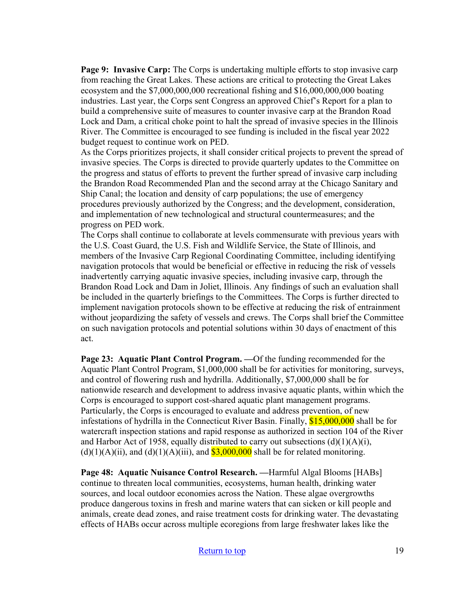**Page 9: Invasive Carp:** The Corps is undertaking multiple efforts to stop invasive carp from reaching the Great Lakes. These actions are critical to protecting the Great Lakes ecosystem and the \$7,000,000,000 recreational fishing and \$16,000,000,000 boating industries. Last year, the Corps sent Congress an approved Chief's Report for a plan to build a comprehensive suite of measures to counter invasive carp at the Brandon Road Lock and Dam, a critical choke point to halt the spread of invasive species in the Illinois River. The Committee is encouraged to see funding is included in the fiscal year 2022 budget request to continue work on PED.

As the Corps prioritizes projects, it shall consider critical projects to prevent the spread of invasive species. The Corps is directed to provide quarterly updates to the Committee on the progress and status of efforts to prevent the further spread of invasive carp including the Brandon Road Recommended Plan and the second array at the Chicago Sanitary and Ship Canal; the location and density of carp populations; the use of emergency procedures previously authorized by the Congress; and the development, consideration, and implementation of new technological and structural countermeasures; and the progress on PED work.

The Corps shall continue to collaborate at levels commensurate with previous years with the U.S. Coast Guard, the U.S. Fish and Wildlife Service, the State of Illinois, and members of the Invasive Carp Regional Coordinating Committee, including identifying navigation protocols that would be beneficial or effective in reducing the risk of vessels inadvertently carrying aquatic invasive species, including invasive carp, through the Brandon Road Lock and Dam in Joliet, Illinois. Any findings of such an evaluation shall be included in the quarterly briefings to the Committees. The Corps is further directed to implement navigation protocols shown to be effective at reducing the risk of entrainment without jeopardizing the safety of vessels and crews. The Corps shall brief the Committee on such navigation protocols and potential solutions within 30 days of enactment of this act.

**Page 23: Aquatic Plant Control Program. —**Of the funding recommended for the Aquatic Plant Control Program, \$1,000,000 shall be for activities for monitoring, surveys, and control of flowering rush and hydrilla. Additionally, \$7,000,000 shall be for nationwide research and development to address invasive aquatic plants, within which the Corps is encouraged to support cost-shared aquatic plant management programs. Particularly, the Corps is encouraged to evaluate and address prevention, of new infestations of hydrilla in the Connecticut River Basin. Finally, \$15,000,000 shall be for watercraft inspection stations and rapid response as authorized in section 104 of the River and Harbor Act of 1958, equally distributed to carry out subsections  $(d)(1)(A)(i)$ ,  $(d)(1)(A)(ii)$ , and  $(d)(1)(A)(iii)$ , and  $$3,000,000$  shall be for related monitoring.

**Page 48: Aquatic Nuisance Control Research. —**Harmful Algal Blooms [HABs] continue to threaten local communities, ecosystems, human health, drinking water sources, and local outdoor economies across the Nation. These algae overgrowths produce dangerous toxins in fresh and marine waters that can sicken or kill people and animals, create dead zones, and raise treatment costs for drinking water. The devastating effects of HABs occur across multiple ecoregions from large freshwater lakes like the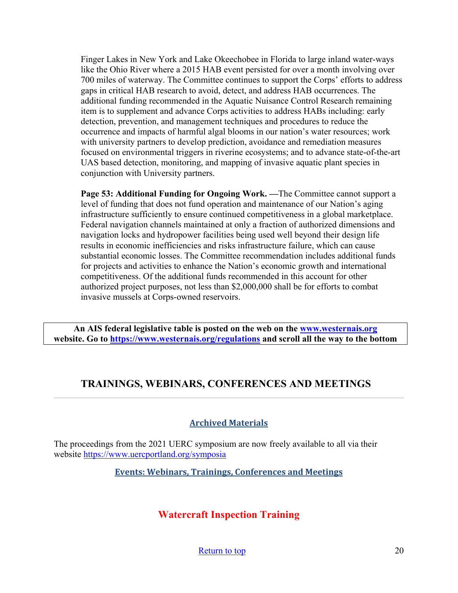Finger Lakes in New York and Lake Okeechobee in Florida to large inland water-ways like the Ohio River where a 2015 HAB event persisted for over a month involving over 700 miles of waterway. The Committee continues to support the Corps' efforts to address gaps in critical HAB research to avoid, detect, and address HAB occurrences. The additional funding recommended in the Aquatic Nuisance Control Research remaining item is to supplement and advance Corps activities to address HABs including: early detection, prevention, and management techniques and procedures to reduce the occurrence and impacts of harmful algal blooms in our nation's water resources; work with university partners to develop prediction, avoidance and remediation measures focused on environmental triggers in riverine ecosystems; and to advance state-of-the-art UAS based detection, monitoring, and mapping of invasive aquatic plant species in conjunction with University partners.

**Page 53: Additional Funding for Ongoing Work.** —The Committee cannot support a level of funding that does not fund operation and maintenance of our Nation's aging infrastructure sufficiently to ensure continued competitiveness in a global marketplace. Federal navigation channels maintained at only a fraction of authorized dimensions and navigation locks and hydropower facilities being used well beyond their design life results in economic inefficiencies and risks infrastructure failure, which can cause substantial economic losses. The Committee recommendation includes additional funds for projects and activities to enhance the Nation's economic growth and international competitiveness. Of the additional funds recommended in this account for other authorized project purposes, not less than \$2,000,000 shall be for efforts to combat invasive mussels at Corps-owned reservoirs.

**An AIS federal legislative table is posted on the web on the [www.westernais.org](http://www.westernais.org/) website. Go to<https://www.westernais.org/regulations> and scroll all the way to the bottom**

# <span id="page-19-0"></span>**TRAININGS, WEBINARS, CONFERENCES AND MEETINGS**

#### **Archived Materials**

The proceedings from the 2021 UERC symposium are now freely available to all via their website<https://www.uercportland.org/symposia>

**Events: Webinars, Trainings, Conferences and Meetings**

# **Watercraft Inspection Training**

[Return to top](#page-0-0) 20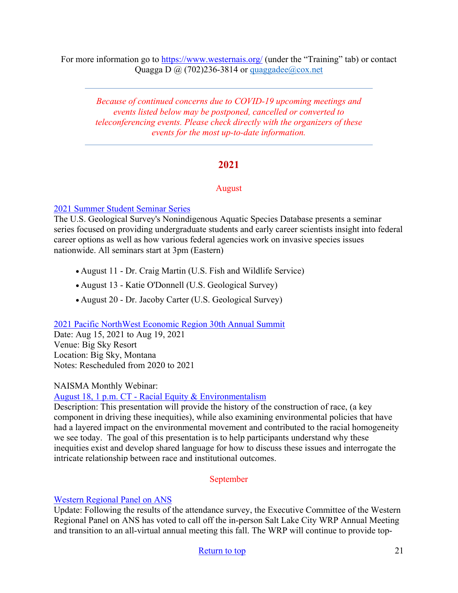For more information go to<https://www.westernais.org/> (under the "Training" tab) or contact Quagga D  $\omega$  (702)236-3814 or quaggadee $\omega$ cox.net

*Because of continued concerns due to COVID-19 upcoming meetings and events listed below may be postponed, cancelled or converted to teleconferencing events. Please check directly with the organizers of these events for the most up-to-date information.* 

### **2021**

#### August

#### [2021 Summer Student Seminar Series](https://www.pnamp.org/announcement/u-s-geological-survey-2021-summer-student-seminar-series)

The U.S. Geological Survey's Nonindigenous Aquatic Species Database presents a seminar series focused on providing undergraduate students and early career scientists insight into federal career options as well as how various federal agencies work on invasive species issues nationwide. All seminars start at 3pm (Eastern)

- August 11 Dr. Craig Martin (U.S. Fish and Wildlife Service)
- August 13 Katie O'Donnell (U.S. Geological Survey)
- August 20 Dr. Jacoby Carter (U.S. Geological Survey)

## [2021 Pacific NorthWest Economic Region 30th Annual Summit](http://www.pnwer.org/2021-summit.html)

Date: Aug 15, 2021 to Aug 19, 2021 Venue: Big Sky Resort Location: Big Sky, Montana Notes: Rescheduled from 2020 to 2021

#### NAISMA Monthly Webinar:

### [August 18, 1 p.m. CT - Racial Equity & Environmentalism](https://us02web.zoom.us/webinar/register/WN_vfMtxvYvQUeVVN5R-mgWdA?utm_medium=email&utm_source=govdelivery)

Description: This presentation will provide the history of the construction of race, (a key component in driving these inequities), while also examining environmental policies that have had a layered impact on the environmental movement and contributed to the racial homogeneity we see today. The goal of this presentation is to help participants understand why these inequities exist and develop shared language for how to discuss these issues and interrogate the intricate relationship between race and institutional outcomes.

#### September

#### [Western Regional Panel on ANS](https://westernregionalpanel.org/)

Update: Following the results of the attendance survey, the Executive Committee of the Western Regional Panel on ANS has voted to call off the in-person Salt Lake City WRP Annual Meeting and transition to an all-virtual annual meeting this fall. The WRP will continue to provide top-

#### [Return to top](#page-0-0) 21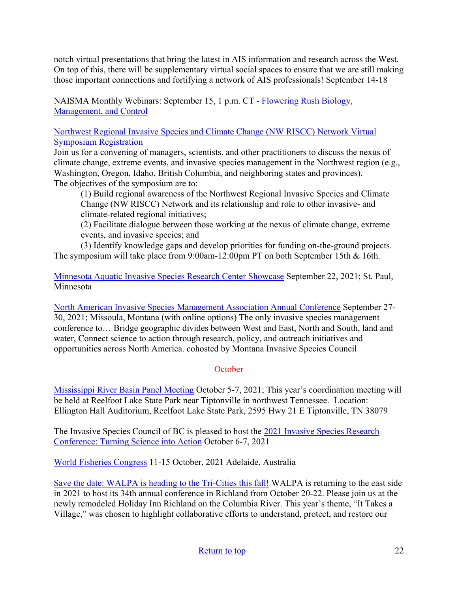notch virtual presentations that bring the latest in AIS information and research across the West. On top of this, there will be supplementary virtual social spaces to ensure that we are still making those important connections and fortifying a network of AIS professionals! September 14-18

NAISMA Monthly Webinars: September 15, 1 p.m. CT - [Flowering Rush Biology,](https://us02web.zoom.us/webinar/register/WN_fc8nKODtT7mKDY0ub_28Xg?utm_medium=email&utm_source=govdelivery)  [Management, and Control](https://us02web.zoom.us/webinar/register/WN_fc8nKODtT7mKDY0ub_28Xg?utm_medium=email&utm_source=govdelivery)

[Northwest Regional Invasive Species and Climate Change \(NW RISCC\) Network Virtual](https://sites.google.com/view/nwriscc/symposium)  [Symposium Registration](https://sites.google.com/view/nwriscc/symposium)

Join us for a convening of managers, scientists, and other practitioners to discuss the nexus of climate change, extreme events, and invasive species management in the Northwest region (e.g., Washington, Oregon, Idaho, British Columbia, and neighboring states and provinces). The objectives of the symposium are to:

(1) Build regional awareness of the Northwest Regional Invasive Species and Climate Change (NW RISCC) Network and its relationship and role to other invasive- and climate-related regional initiatives;

(2) Facilitate dialogue between those working at the nexus of climate change, extreme events, and invasive species; and

(3) Identify knowledge gaps and develop priorities for funding on-the-ground projects. The symposium will take place from 9:00am-12:00pm PT on both September 15th & 16th.

[Minnesota Aquatic Invasive Species Research Center Showcase](https://www.maisrc.umn.edu/?utm_medium=email&utm_source=govdelivery) September 22, 2021; St. Paul, Minnesota

[North American Invasive Species Management Association Annual Conference](https://naisma.org/conferences/?utm_medium=email&utm_source=govdelivery) September 27- 30, 2021; Missoula, Montana (with online options) The only invasive species management conference to… Bridge geographic divides between West and East, North and South, land and water, Connect science to action through research, policy, and outreach initiatives and opportunities across North America. cohosted by Montana Invasive Species Council

## **October**

[Mississippi River Basin Panel Meeting](http://mrbp.org/meetings?utm_medium=email&utm_source=govdelivery) October 5-7, 2021; This year's coordination meeting will be held at Reelfoot Lake State Park near Tiptonville in northwest Tennessee. Location: Ellington Hall Auditorium, Reelfoot Lake State Park, 2595 Hwy 21 E Tiptonville, TN 38079

The Invasive Species Council of BC is pleased to host the [2021 Invasive Species Research](https://bcinvasives.ca/resources/professional-events/2021-invasive-species-research-conference-turning-science-into-action/)  [Conference: Turning Science into Action](https://bcinvasives.ca/resources/professional-events/2021-invasive-species-research-conference-turning-science-into-action/) October 6-7, 2021

[World Fisheries Congress](https://wfc2020.com.au/) 11-15 October, 2021 Adelaide, Australia

[Save the date: WALPA is heading to the Tri-Cities this fall!](https://www.walpa.org/waterline/march-2021/save-the-date-walpa-is-heading-to-the-tri-cities-this-fall/) WALPA is returning to the east side in 2021 to host its 34th annual conference in Richland from October 20-22. Please join us at the newly remodeled Holiday Inn Richland on the Columbia River. This year's theme, "It Takes a Village," was chosen to highlight collaborative efforts to understand, protect, and restore our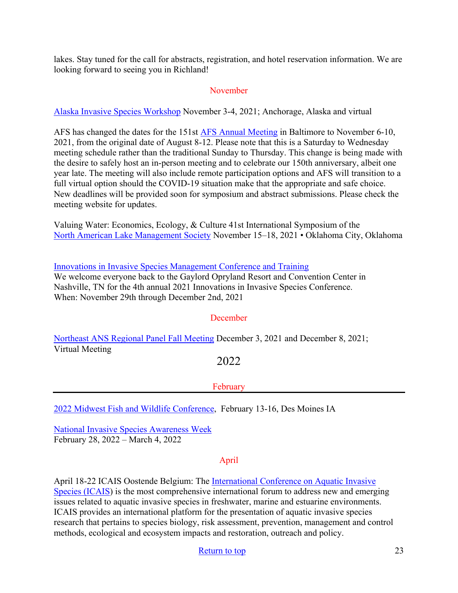lakes. Stay tuned for the call for abstracts, registration, and hotel reservation information. We are looking forward to seeing you in Richland!

#### November

[Alaska Invasive Species Workshop](https://uaf.edu/ces/invasives/conference/?utm_medium=email&utm_source=govdelivery) November 3-4, 2021; Anchorage, Alaska and virtual

AFS has changed the dates for the 151st [AFS Annual Meeting](https://fisheries.org/) in Baltimore to November 6-10, 2021, from the original date of August 8-12. Please note that this is a Saturday to Wednesday meeting schedule rather than the traditional Sunday to Thursday. This change is being made with the desire to safely host an in-person meeting and to celebrate our 150th anniversary, albeit one year late. The meeting will also include remote participation options and AFS will transition to a full virtual option should the COVID-19 situation make that the appropriate and safe choice. New deadlines will be provided soon for symposium and abstract submissions. Please check the meeting website for updates.

Valuing Water: Economics, Ecology, & Culture 41st International Symposium of the [North American Lake Management Society](https://www.nalms.org/) November 15–18, 2021 • Oklahoma City, Oklahoma

[Innovations in Invasive Species Management Conference and Training](https://www.invasiveplantcontrol.com/conference21/) We welcome everyone back to the Gaylord Opryland Resort and Convention Center in Nashville, TN for the 4th annual 2021 Innovations in Invasive Species Conference. When: November 29th through December 2nd, 2021

#### December

[Northeast ANS Regional Panel Fall Meeting](https://www.northeastans.org/index.php/home/meetings-and-panel-information/?utm_medium=email&utm_source=govdelivery) December 3, 2021 and December 8, 2021; Virtual Meeting

# 2022

#### February

[2022 Midwest Fish and Wildlife Conference,](http://www.midwestfw.org/html/call-for-symposia.shtml) February 13-16, Des Moines IA

[National Invasive Species Awareness Week](https://www.nisaw.org/?utm_medium=email&utm_source=govdelivery) February 28, 2022 – March 4, 2022

#### April

April 18-22 ICAIS Oostende Belgium: The [International Conference on Aquatic Invasive](http://www.icais.org/)  [Species \(ICAIS\)](http://www.icais.org/) is the most comprehensive international forum to address new and emerging issues related to aquatic invasive species in freshwater, marine and estuarine environments. ICAIS provides an international platform for the presentation of aquatic invasive species research that pertains to species biology, risk assessment, prevention, management and control methods, ecological and ecosystem impacts and restoration, outreach and policy.

#### [Return to top](#page-0-0) 23